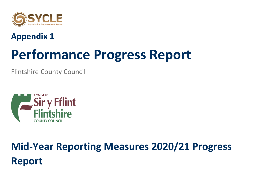

### **Appendix 1**

# **Performance Progress Report**

Flintshire County Council



## **Mid-Year Reporting Measures 2020/21 Progress Report**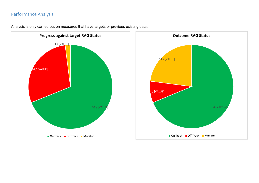#### Performance Analysis



Analysis is only carried out on measures that have targets or previous existing data.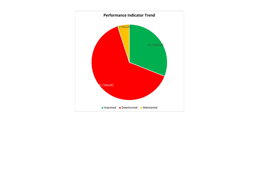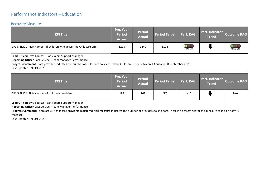#### Performance Indicators – Education

#### Recovery Measures

| <b>KPI Title</b>                                                                                                                                                                                                                                                                                                         | Pre. Year<br><b>Period</b><br><b>Actual</b> | <b>Period</b><br><b>Actual</b> | <b>Period Target</b> | Perf. RAG  | Perf. Indicator<br>Trend | <b>Outcome RAG</b> |
|--------------------------------------------------------------------------------------------------------------------------------------------------------------------------------------------------------------------------------------------------------------------------------------------------------------------------|---------------------------------------------|--------------------------------|----------------------|------------|--------------------------|--------------------|
| CP1.5.3M01 (PM) Number of children who access the Childcare offer                                                                                                                                                                                                                                                        | 1298                                        | 1240                           | 312.5                | <b>OOO</b> |                          | $\rm{OO}$<br>GREEN |
| Lead Officer: Byra Foulkes - Early Years Support Manager<br>Reporting Officer: Jacque Slee - Team Manager Performance<br>$\mathsf{P}$ . The compact $\mathsf{P}$ is an ideal interesting the compact different in a consistent $\mathsf{P}$ ideas. $\mathsf{Q}$ is because the set $\mathsf{P}$ is a set of $\mathsf{P}$ |                                             |                                |                      |            |                          |                    |

**Progress Comment:** Data provided indicates the number of children who accessed the Childcare Offer between 1 April and 30 September 2020.

Last Updated: 09-Oct-2020

| <b>KPI Title</b>                                                                                                                                                                                                                                                                                                              | Pre. Year<br><b>Period</b><br><b>Actual</b> | <b>Period</b><br><b>Actual</b> | <b>Period Target</b> | Perf. RAG | Perf. Indicator<br><b>Trend</b> | <b>Outcome RAG</b> |
|-------------------------------------------------------------------------------------------------------------------------------------------------------------------------------------------------------------------------------------------------------------------------------------------------------------------------------|---------------------------------------------|--------------------------------|----------------------|-----------|---------------------------------|--------------------|
| CP1.5.3M02 (PM) Number of childcare providers                                                                                                                                                                                                                                                                                 | 189                                         | 167                            | N/A                  | N/A       |                                 | N/A                |
| Lead Officer: Byra Foulkes - Early Years Support Manager<br>Reporting Officer: Jacque Slee - Team Manager Performance<br>Progress Comment: There are 337 childcare providers registered; this measure indicates the number of providers taking part. There is no target set for this measure as it is an activity<br>measure. |                                             |                                |                      |           |                                 |                    |

Last Updated: 09-Oct-2020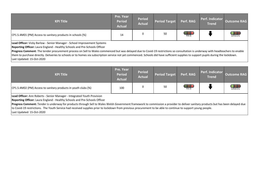| <b>KPI Title</b>                                           | Pre. Year<br><b>Period</b><br><b>Actual</b> | <b>Period</b><br><b>Actual</b> | Period Target | Perf. RAG  | Perf. Indicator<br><b>Trend</b> | <b>Outcome RAG</b> |
|------------------------------------------------------------|---------------------------------------------|--------------------------------|---------------|------------|---------------------------------|--------------------|
| CP1.5.4M01 (PM) Access to sanitary products in schools (%) | 14                                          |                                | 50            | <b>RED</b> |                                 | GREEN              |

**Lead Officer:** Vicky Barlow - Senior Manager - School Improvement Systems

**Reporting Officer:** Laura England - Healthy Schools and Pre-Schools Officer

**Progress Comment**: The tender procurement process on Sell to Wales commenced but was delayed due to Covid-19 restrictions so consultation is underway with headteachers to enable them to purchase directly. Deliveries to schools or to homes via subscription service not yet commenced. Schools did have sufficient supplies to support pupils during the lockdown. Last Updated: 15-Oct-2020

| <b>KPI Title</b>                                                                                                                                                                                                                                                                                                                                                                                                                                                                                                                         | Pre. Year<br><b>Period</b><br><b>Actual</b> | <b>Period</b><br><b>Actual</b> | <b>Period Target</b> | Perf. RAG       | Perf. Indicator<br><b>Trend</b> | <b>Outcome RAG</b>                             |
|------------------------------------------------------------------------------------------------------------------------------------------------------------------------------------------------------------------------------------------------------------------------------------------------------------------------------------------------------------------------------------------------------------------------------------------------------------------------------------------------------------------------------------------|---------------------------------------------|--------------------------------|----------------------|-----------------|---------------------------------|------------------------------------------------|
| CP1.5.4M02 (PM) Access to sanitary products in youth clubs (%)                                                                                                                                                                                                                                                                                                                                                                                                                                                                           | 100                                         |                                | 50                   | O <sub>RD</sub> |                                 | $\overline{\text{O}\text{O}}\text{C}$<br>GREEN |
| Lead Officer: Ann Roberts - Senior Manager - Integrated Youth Provision<br>Reporting Officer: Laura England - Healthy Schools and Pre-Schools Officer<br>Progress Comment: Tender is underway for products through Sell to Wales Welsh Government framework to commission a provider to deliver sanitary products but has been delayed due<br>to Covid-19 restrictions. The Youth Service had received supplies prior to lockdown from previous procurement to be able to continue to support young people.<br>Last Updated: 15-Oct-2020 |                                             |                                |                      |                 |                                 |                                                |